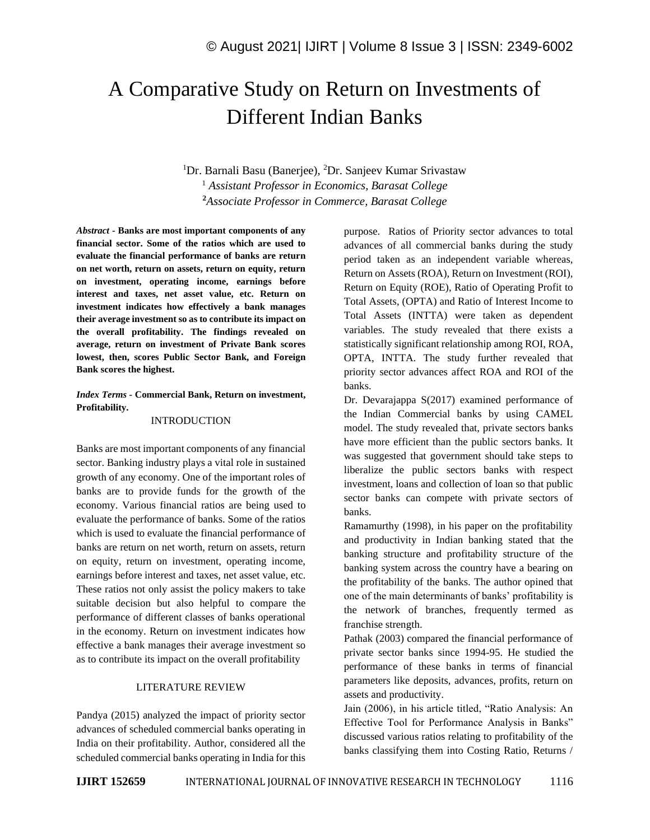# A Comparative Study on Return on Investments of Different Indian Banks

<sup>1</sup>Dr. Barnali Basu (Banerjee), <sup>2</sup>Dr. Sanjeev Kumar Srivastaw <sup>1</sup> *Assistant Professor in Economics, Barasat College* **<sup>2</sup>***Associate Professor in Commerce, Barasat College*

*Abstract -* **Banks are most important components of any financial sector. Some of the ratios which are used to evaluate the financial performance of banks are return on net worth, return on assets, return on equity, return on investment, operating income, earnings before interest and taxes, net asset value, etc. Return on investment indicates how effectively a bank manages their average investment so as to contribute its impact on the overall profitability. The findings revealed on average, return on investment of Private Bank scores lowest, then, scores Public Sector Bank, and Foreign Bank scores the highest.**

## *Index Terms -* **Commercial Bank, Return on investment, Profitability.**

# INTRODUCTION

Banks are most important components of any financial sector. Banking industry plays a vital role in sustained growth of any economy. One of the important roles of banks are to provide funds for the growth of the economy. Various financial ratios are being used to evaluate the performance of banks. Some of the ratios which is used to evaluate the financial performance of banks are return on net worth, return on assets, return on equity, return on investment, operating income, earnings before interest and taxes, net asset value, etc. These ratios not only assist the policy makers to take suitable decision but also helpful to compare the performance of different classes of banks operational in the economy. Return on investment indicates how effective a bank manages their average investment so as to contribute its impact on the overall profitability

## LITERATURE REVIEW

Pandya (2015) analyzed the impact of priority sector advances of scheduled commercial banks operating in India on their profitability. Author, considered all the scheduled commercial banks operating in India for this purpose. Ratios of Priority sector advances to total advances of all commercial banks during the study period taken as an independent variable whereas, Return on Assets (ROA), Return on Investment (ROI), Return on Equity (ROE), Ratio of Operating Profit to Total Assets, (OPTA) and Ratio of Interest Income to Total Assets (INTTA) were taken as dependent variables. The study revealed that there exists a statistically significant relationship among ROI, ROA, OPTA, INTTA. The study further revealed that priority sector advances affect ROA and ROI of the banks.

Dr. Devarajappa S(2017) examined performance of the Indian Commercial banks by using CAMEL model. The study revealed that, private sectors banks have more efficient than the public sectors banks. It was suggested that government should take steps to liberalize the public sectors banks with respect investment, loans and collection of loan so that public sector banks can compete with private sectors of banks.

Ramamurthy (1998), in his paper on the profitability and productivity in Indian banking stated that the banking structure and profitability structure of the banking system across the country have a bearing on the profitability of the banks. The author opined that one of the main determinants of banks' profitability is the network of branches, frequently termed as franchise strength.

Pathak (2003) compared the financial performance of private sector banks since 1994-95. He studied the performance of these banks in terms of financial parameters like deposits, advances, profits, return on assets and productivity.

Jain (2006), in his article titled, "Ratio Analysis: An Effective Tool for Performance Analysis in Banks" discussed various ratios relating to profitability of the banks classifying them into Costing Ratio, Returns /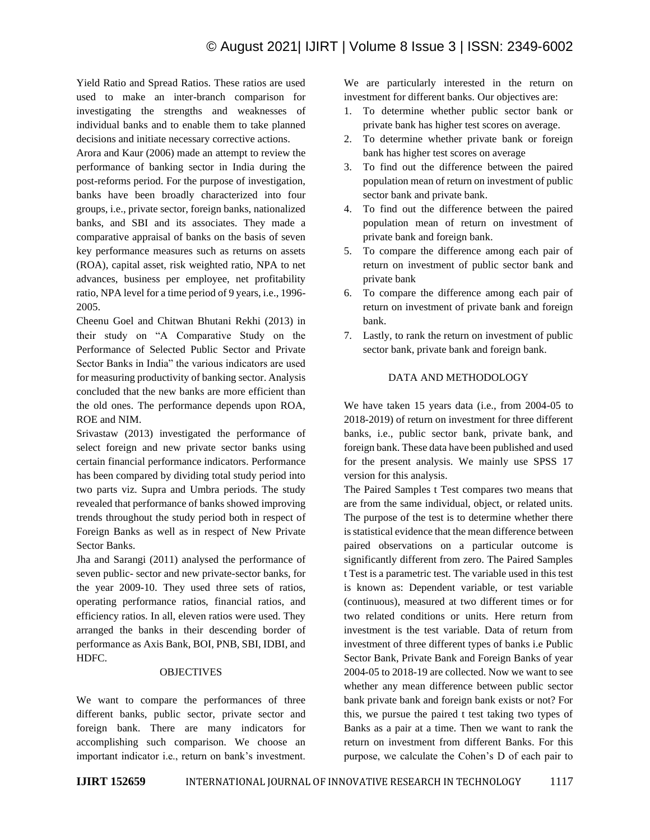Yield Ratio and Spread Ratios. These ratios are used used to make an inter-branch comparison for investigating the strengths and weaknesses of individual banks and to enable them to take planned decisions and initiate necessary corrective actions.

Arora and Kaur (2006) made an attempt to review the performance of banking sector in India during the post-reforms period. For the purpose of investigation, banks have been broadly characterized into four groups, i.e., private sector, foreign banks, nationalized banks, and SBI and its associates. They made a comparative appraisal of banks on the basis of seven key performance measures such as returns on assets (ROA), capital asset, risk weighted ratio, NPA to net advances, business per employee, net profitability ratio, NPA level for a time period of 9 years, i.e., 1996- 2005.

Cheenu Goel and Chitwan Bhutani Rekhi (2013) in their study on "A Comparative Study on the Performance of Selected Public Sector and Private Sector Banks in India" the various indicators are used for measuring productivity of banking sector. Analysis concluded that the new banks are more efficient than the old ones. The performance depends upon ROA, ROE and NIM.

Srivastaw (2013) investigated the performance of select foreign and new private sector banks using certain financial performance indicators. Performance has been compared by dividing total study period into two parts viz. Supra and Umbra periods. The study revealed that performance of banks showed improving trends throughout the study period both in respect of Foreign Banks as well as in respect of New Private Sector Banks.

Jha and Sarangi (2011) analysed the performance of seven public- sector and new private-sector banks, for the year 2009-10. They used three sets of ratios, operating performance ratios, financial ratios, and efficiency ratios. In all, eleven ratios were used. They arranged the banks in their descending border of performance as Axis Bank, BOI, PNB, SBI, IDBI, and HDFC.

## OBJECTIVES

We want to compare the performances of three different banks, public sector, private sector and foreign bank. There are many indicators for accomplishing such comparison. We choose an important indicator i.e., return on bank's investment. We are particularly interested in the return on investment for different banks. Our objectives are:

- 1. To determine whether public sector bank or private bank has higher test scores on average.
- 2. To determine whether private bank or foreign bank has higher test scores on average
- 3. To find out the difference between the paired population mean of return on investment of public sector bank and private bank.
- 4. To find out the difference between the paired population mean of return on investment of private bank and foreign bank.
- 5. To compare the difference among each pair of return on investment of public sector bank and private bank
- 6. To compare the difference among each pair of return on investment of private bank and foreign bank.
- 7. Lastly, to rank the return on investment of public sector bank, private bank and foreign bank.

## DATA AND METHODOLOGY

We have taken 15 years data (i.e., from 2004-05 to 2018-2019) of return on investment for three different banks, i.e., public sector bank, private bank, and foreign bank. These data have been published and used for the present analysis. We mainly use SPSS 17 version for this analysis.

The Paired Samples t Test compares two means that are from the same individual, object, or related units. The purpose of the test is to determine whether there is statistical evidence that the mean difference between paired observations on a particular outcome is significantly different from zero. The Paired Samples t Test is a parametric test. The variable used in this test is known as: Dependent variable, or test variable (continuous), measured at two different times or for two related conditions or units. Here return from investment is the test variable. Data of return from investment of three different types of banks i.e Public Sector Bank, Private Bank and Foreign Banks of year 2004-05 to 2018-19 are collected. Now we want to see whether any mean difference between public sector bank private bank and foreign bank exists or not? For this, we pursue the paired t test taking two types of Banks as a pair at a time. Then we want to rank the return on investment from different Banks. For this purpose, we calculate the Cohen's D of each pair to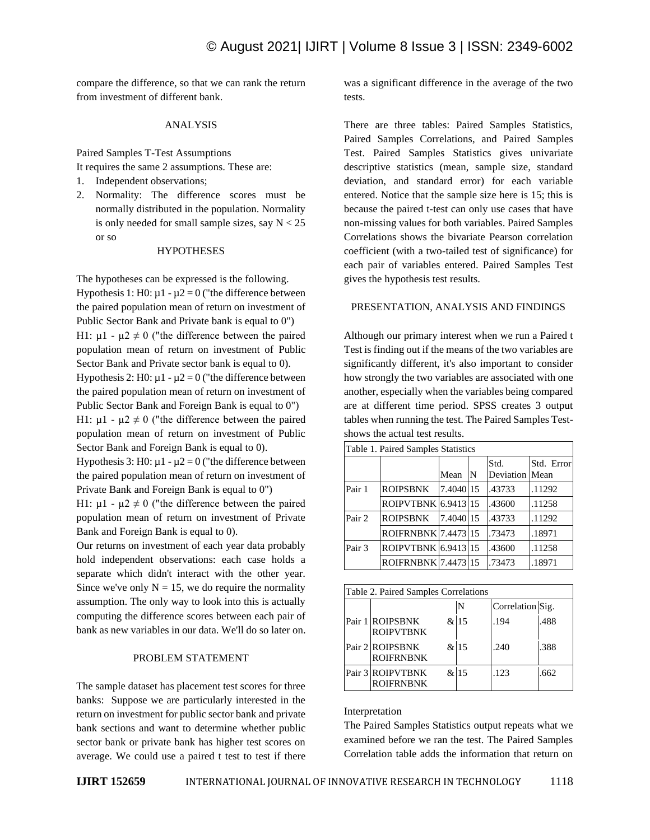compare the difference, so that we can rank the return from investment of different bank.

# ANALYSIS

Paired Samples T-Test Assumptions It requires the same 2 assumptions. These are:

- 1. Independent observations;
- 2. Normality: The difference scores must be normally distributed in the population. Normality is only needed for small sample sizes, say  $N < 25$ or so

## **HYPOTHESES**

The hypotheses can be expressed is the following. Hypothesis 1: H0:  $\mu$ 1 -  $\mu$ 2 = 0 ("the difference between the paired population mean of return on investment of Public Sector Bank and Private bank is equal to 0") H1:  $\mu$ 1 -  $\mu$ 2  $\neq$  0 ("the difference between the paired population mean of return on investment of Public Sector Bank and Private sector bank is equal to 0). Hypothesis 2: H0:  $\mu$ 1 -  $\mu$ 2 = 0 ("the difference between the paired population mean of return on investment of Public Sector Bank and Foreign Bank is equal to 0") H1:  $\mu$ 1 -  $\mu$ 2  $\neq$  0 ("the difference between the paired population mean of return on investment of Public Sector Bank and Foreign Bank is equal to 0).

Hypothesis 3: H0:  $\mu$ 1 -  $\mu$ 2 = 0 ("the difference between the paired population mean of return on investment of Private Bank and Foreign Bank is equal to 0")

H1:  $\mu$ 1 -  $\mu$ 2  $\neq$  0 ("the difference between the paired population mean of return on investment of Private Bank and Foreign Bank is equal to 0).

Our returns on investment of each year data probably hold independent observations: each case holds a separate which didn't interact with the other year. Since we've only  $N = 15$ , we do require the normality assumption. The only way to look into this is actually computing the difference scores between each pair of bank as new variables in our data. We'll do so later on.

#### PROBLEM STATEMENT

The sample dataset has placement test scores for three banks: Suppose we are particularly interested in the return on investment for public sector bank and private bank sections and want to determine whether public sector bank or private bank has higher test scores on average. We could use a paired t test to test if there was a significant difference in the average of the two tests.

There are three tables: Paired Samples Statistics, Paired Samples Correlations, and Paired Samples Test. Paired Samples Statistics gives univariate descriptive statistics (mean, sample size, standard deviation, and standard error) for each variable entered. Notice that the sample size here is 15; this is because the paired t-test can only use cases that have non-missing values for both variables. Paired Samples Correlations shows the bivariate Pearson correlation coefficient (with a two-tailed test of significance) for each pair of variables entered. Paired Samples Test gives the hypothesis test results.

#### PRESENTATION, ANALYSIS AND FINDINGS

Although our primary interest when we run a Paired t Test is finding out if the means of the two variables are significantly different, it's also important to consider how strongly the two variables are associated with one another, especially when the variables being compared are at different time period. SPSS creates 3 output tables when running the test. The Paired Samples Testshows the actual test results.

| Table 1. Paired Samples Statistics |                     |            |    |                        |            |  |  |  |
|------------------------------------|---------------------|------------|----|------------------------|------------|--|--|--|
|                                    |                     | Mean       | IN | Std.<br>Deviation Mean | Std. Error |  |  |  |
| Pair 1                             | <b>ROIPSBNK</b>     | 7.4040 15  |    | .43733                 | .11292     |  |  |  |
|                                    | ROIPVTBNK 6.9413 15 |            |    | .43600                 | .11258     |  |  |  |
| Pair 2                             | <b>ROIPSBNK</b>     | 17.4040 15 |    | .43733                 | .11292     |  |  |  |
|                                    | ROIFRNBNK 7.4473 15 |            |    | .73473                 | .18971     |  |  |  |
| Pair 3                             | ROIPVTBNK 6.9413 15 |            |    | .43600                 | .11258     |  |  |  |
|                                    | ROIFRNBNK 7.4473 15 |            |    | .73473                 | .18971     |  |  |  |

| Table 2. Paired Samples Correlations |     | Correlation Sig. |      |
|--------------------------------------|-----|------------------|------|
| Pair 1 ROIPSBNK<br><b>ROIPVTBNK</b>  | &15 | .194             | .488 |
| Pair 2 ROIPSBNK<br><b>ROIFRNBNK</b>  | &15 | .240             | .388 |
| Pair 3 ROIPVTBNK<br><b>ROIFRNBNK</b> | &15 | .123             | .662 |

#### Interpretation

The Paired Samples Statistics output repeats what we examined before we ran the test. The Paired Samples Correlation table adds the information that return on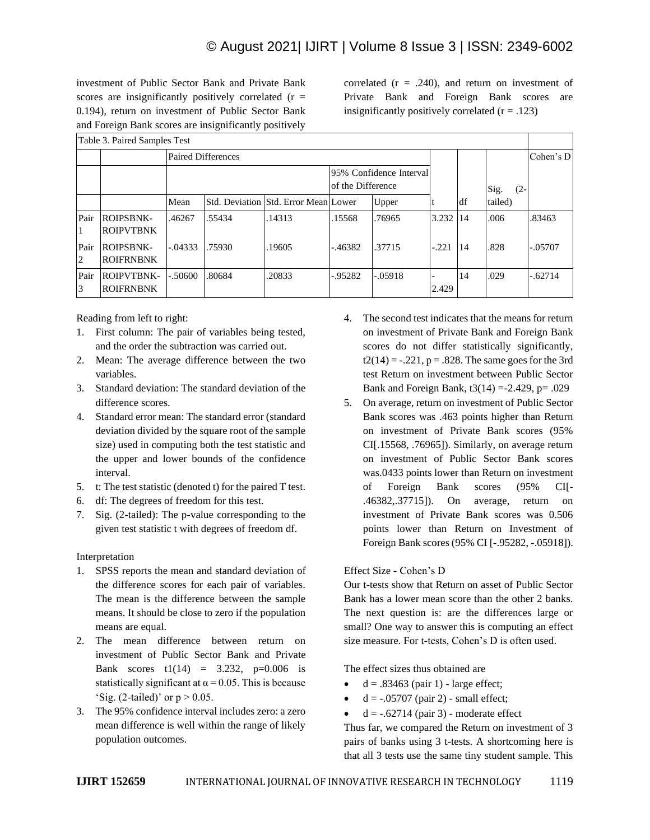investment of Public Sector Bank and Private Bank scores are insignificantly positively correlated  $(r =$ 0.194), return on investment of Public Sector Bank and Foreign Bank scores are insignificantly positively

correlated  $(r = .240)$ , and return on investment of Private Bank and Foreign Bank scores are insignificantly positively correlated  $(r = .123)$ 

| Table 3. Paired Samples Test |                                |                           |        |                                      |                                              |           |         |    |                |           |
|------------------------------|--------------------------------|---------------------------|--------|--------------------------------------|----------------------------------------------|-----------|---------|----|----------------|-----------|
|                              |                                | <b>Paired Differences</b> |        |                                      |                                              |           |         |    |                | Cohen's D |
|                              |                                |                           |        |                                      | 95% Confidence Interval<br>of the Difference |           |         |    | Sig.<br>$(2 -$ |           |
|                              |                                | Mean                      |        | Std. Deviation Std. Error Mean Lower |                                              | Upper     |         | df | tailed)        |           |
| Pair                         | ROIPSBNK-<br><b>ROIPVTBNK</b>  | .46267                    | .55434 | .14313                               | 15568                                        | .76965    | 3.232   | 14 | .006           | .83463    |
| Pair<br>$\overline{2}$       | ROIPSBNK-<br>ROIFRNBNK         | $-.04333$                 | .75930 | .19605                               | -.46382                                      | .37715    | $-.221$ | 14 | .828           | $-.05707$ |
| Pair                         | <b>ROIPVTBNK-</b><br>ROIFRNBNK | $-.50600$                 | .80684 | .20833                               | $-95282$                                     | $-.05918$ | 2.429   | 14 | .029           | $-.62714$ |

Reading from left to right:

- 1. First column: The pair of variables being tested, and the order the subtraction was carried out.
- 2. Mean: The average difference between the two variables.
- 3. Standard deviation: The standard deviation of the difference scores.
- 4. Standard error mean: The standard error (standard deviation divided by the square root of the sample size) used in computing both the test statistic and the upper and lower bounds of the confidence interval.
- 5. t: The test statistic (denoted t) for the paired T test.
- 6. df: The degrees of freedom for this test.
- 7. Sig. (2-tailed): The p-value corresponding to the given test statistic t with degrees of freedom df.

## Interpretation

- 1. SPSS reports the mean and standard deviation of the difference scores for each pair of variables. The mean is the difference between the sample means. It should be close to zero if the population means are equal.
- 2. The mean difference between return on investment of Public Sector Bank and Private Bank scores  $t1(14) = 3.232$ ,  $p=0.006$  is statistically significant at  $\alpha$  = 0.05. This is because 'Sig. (2-tailed)' or  $p > 0.05$ .
- 3. The 95% confidence interval includes zero: a zero mean difference is well within the range of likely population outcomes.
- 4. The second test indicates that the means for return on investment of Private Bank and Foreign Bank scores do not differ statistically significantly,  $t2(14) = -.221$ ,  $p = .828$ . The same goes for the 3rd test Return on investment between Public Sector Bank and Foreign Bank,  $t3(14) = -2.429$ , p= .029
- 5. On average, return on investment of Public Sector Bank scores was .463 points higher than Return on investment of Private Bank scores (95% CI[.15568, .76965]). Similarly, on average return on investment of Public Sector Bank scores was.0433 points lower than Return on investment of Foreign Bank scores (95% CI[- .46382,.37715]). On average, return on investment of Private Bank scores was 0.506 points lower than Return on Investment of Foreign Bank scores (95% CI [-.95282, -.05918]).

## Effect Size - Cohen's D

Our t-tests show that Return on asset of Public Sector Bank has a lower mean score than the other 2 banks. The next question is: are the differences large or small? One way to answer this is computing an effect size measure. For t-tests, Cohen's D is often used.

The effect sizes thus obtained are

- $d = .83463$  (pair 1) large effect;
- $\bullet$  d = -.05707 (pair 2) small effect;
- $d = -.62714$  (pair 3) moderate effect

Thus far, we compared the Return on investment of 3 pairs of banks using 3 t-tests. A shortcoming here is that all 3 tests use the same tiny student sample. This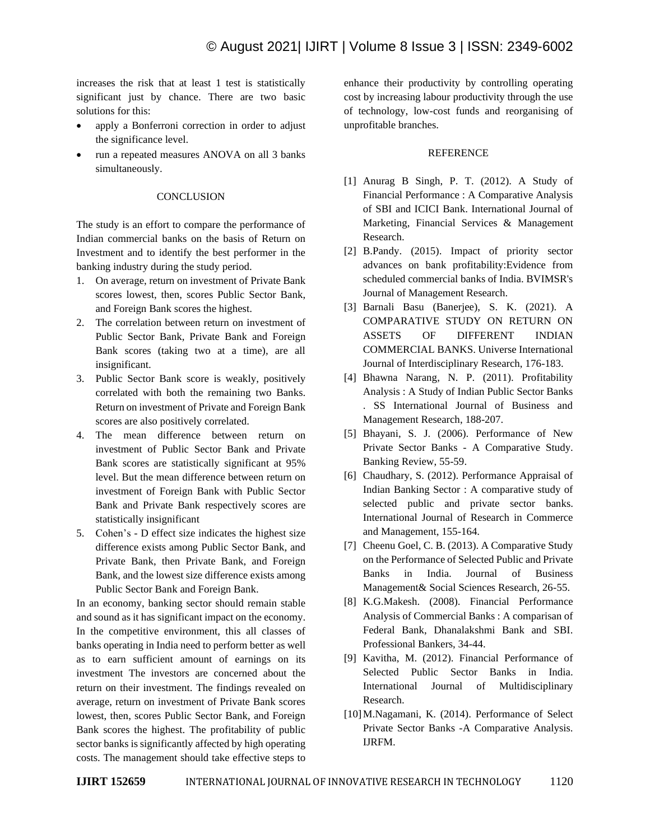increases the risk that at least 1 test is statistically significant just by chance. There are two basic solutions for this:

- apply a Bonferroni correction in order to adjust the significance level.
- run a repeated measures ANOVA on all 3 banks simultaneously.

# **CONCLUSION**

The study is an effort to compare the performance of Indian commercial banks on the basis of Return on Investment and to identify the best performer in the banking industry during the study period.

- 1. On average, return on investment of Private Bank scores lowest, then, scores Public Sector Bank, and Foreign Bank scores the highest.
- 2. The correlation between return on investment of Public Sector Bank, Private Bank and Foreign Bank scores (taking two at a time), are all insignificant.
- 3. Public Sector Bank score is weakly, positively correlated with both the remaining two Banks. Return on investment of Private and Foreign Bank scores are also positively correlated.
- 4. The mean difference between return on investment of Public Sector Bank and Private Bank scores are statistically significant at 95% level. But the mean difference between return on investment of Foreign Bank with Public Sector Bank and Private Bank respectively scores are statistically insignificant
- 5. Cohen's D effect size indicates the highest size difference exists among Public Sector Bank, and Private Bank, then Private Bank, and Foreign Bank, and the lowest size difference exists among Public Sector Bank and Foreign Bank.

In an economy, banking sector should remain stable and sound as it has significant impact on the economy. In the competitive environment, this all classes of banks operating in India need to perform better as well as to earn sufficient amount of earnings on its investment The investors are concerned about the return on their investment. The findings revealed on average, return on investment of Private Bank scores lowest, then, scores Public Sector Bank, and Foreign Bank scores the highest. The profitability of public sector banks is significantly affected by high operating costs. The management should take effective steps to

enhance their productivity by controlling operating cost by increasing labour productivity through the use of technology, low-cost funds and reorganising of unprofitable branches.

# REFERENCE

- [1] Anurag B Singh, P. T. (2012). A Study of Financial Performance : A Comparative Analysis of SBI and ICICI Bank. International Journal of Marketing, Financial Services & Management Research.
- [2] B.Pandy. (2015). Impact of priority sector advances on bank profitability:Evidence from scheduled commercial banks of India. BVIMSR's Journal of Management Research.
- [3] Barnali Basu (Banerjee), S. K. (2021). A COMPARATIVE STUDY ON RETURN ON ASSETS OF DIFFERENT INDIAN COMMERCIAL BANKS. Universe International Journal of Interdisciplinary Research, 176-183.
- [4] Bhawna Narang, N. P. (2011). Profitability Analysis : A Study of Indian Public Sector Banks . SS International Journal of Business and Management Research, 188-207.
- [5] Bhayani, S. J. (2006). Performance of New Private Sector Banks - A Comparative Study. Banking Review, 55-59.
- [6] Chaudhary, S. (2012). Performance Appraisal of Indian Banking Sector : A comparative study of selected public and private sector banks. International Journal of Research in Commerce and Management, 155-164.
- [7] Cheenu Goel, C. B. (2013). A Comparative Study on the Performance of Selected Public and Private Banks in India. Journal of Business Management& Social Sciences Research, 26-55.
- [8] K.G.Makesh. (2008). Financial Performance Analysis of Commercial Banks : A comparisan of Federal Bank, Dhanalakshmi Bank and SBI. Professional Bankers, 34-44.
- [9] Kavitha, M. (2012). Financial Performance of Selected Public Sector Banks in India. International Journal of Multidisciplinary Research.
- [10] M.Nagamani, K. (2014). Performance of Select Private Sector Banks -A Comparative Analysis. IJRFM.